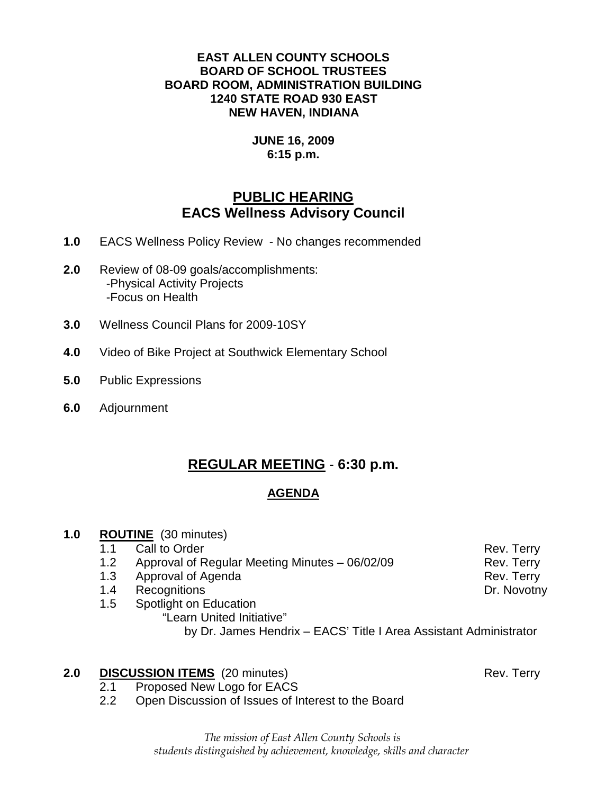### **EAST ALLEN COUNTY SCHOOLS BOARD OF SCHOOL TRUSTEES BOARD ROOM, ADMINISTRATION BUILDING 1240 STATE ROAD 930 EAST NEW HAVEN, INDIANA**

### **JUNE 16, 2009 6:15 p.m.**

# **PUBLIC HEARING EACS Wellness Advisory Council**

- **1.0** EACS Wellness Policy Review No changes recommended
- **2.0** Review of 08-09 goals/accomplishments: -Physical Activity Projects -Focus on Health
- **3.0** Wellness Council Plans for 2009-10SY
- **4.0** Video of Bike Project at Southwick Elementary School
- **5.0** Public Expressions
- **6.0** Adjournment

# **REGULAR MEETING** - **6:30 p.m.**

# **AGENDA**

# **1.0 ROUTINE** (30 minutes)

1.1 Call to Order **Rev. Terry Rev. Terry** 

1.2 Approval of Regular Meeting Minutes – 06/02/09 Rev. Terry

- 1.3 Approval of Agenda **Rev. Terry**
- 1.4 Recognitions **Dr. Novotny**
- 1.5 Spotlight on Education "Learn United Initiative" by Dr. James Hendrix – EACS' Title I Area Assistant Administrator

# **2.0 DISCUSSION ITEMS** (20 minutes) Rev. Terry

- 2.1 Proposed New Logo for EACS
- 2.2 Open Discussion of Issues of Interest to the Board

The mission of East Allen County Schools is students distinguished by achievement, knowledge, skills and character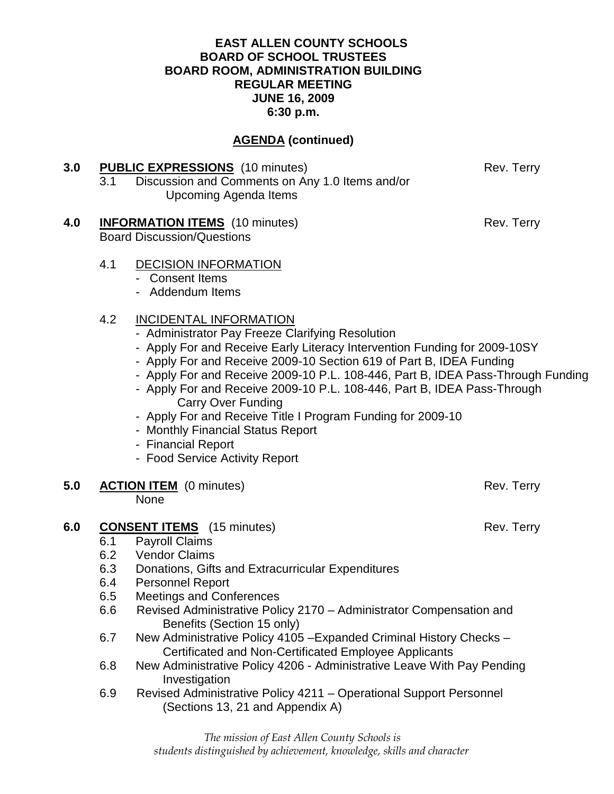### **EAST ALLEN COUNTY SCHOOLS BOARD OF SCHOOL TRUSTEES BOARD ROOM, ADMINISTRATION BUILDING REGULAR MEETING JUNE 16, 2009 6:30 p.m.**

# **AGENDA (continued)**

| 3.0 | 3.1                                    | <b>PUBLIC EXPRESSIONS</b> (10 minutes)<br>Discussion and Comments on Any 1.0 Items and/or<br><b>Upcoming Agenda Items</b>                                                                                                                                                                                                                                                                                                                                                                                                                                                                    | Rev. Terry |  |
|-----|----------------------------------------|----------------------------------------------------------------------------------------------------------------------------------------------------------------------------------------------------------------------------------------------------------------------------------------------------------------------------------------------------------------------------------------------------------------------------------------------------------------------------------------------------------------------------------------------------------------------------------------------|------------|--|
| 4.0 |                                        | <b>INFORMATION ITEMS</b> (10 minutes)<br><b>Board Discussion/Questions</b>                                                                                                                                                                                                                                                                                                                                                                                                                                                                                                                   | Rev. Terry |  |
|     | 4.1                                    | <b>DECISION INFORMATION</b><br>- Consent Items<br>- Addendum Items                                                                                                                                                                                                                                                                                                                                                                                                                                                                                                                           |            |  |
|     | 4.2                                    | <b>INCIDENTAL INFORMATION</b><br>- Administrator Pay Freeze Clarifying Resolution<br>- Apply For and Receive Early Literacy Intervention Funding for 2009-10SY<br>- Apply For and Receive 2009-10 Section 619 of Part B, IDEA Funding<br>- Apply For and Receive 2009-10 P.L. 108-446, Part B, IDEA Pass-Through Funding<br>- Apply For and Receive 2009-10 P.L. 108-446, Part B, IDEA Pass-Through<br><b>Carry Over Funding</b><br>- Apply For and Receive Title I Program Funding for 2009-10<br>- Monthly Financial Status Report<br>- Financial Report<br>- Food Service Activity Report |            |  |
| 5.0 |                                        | <b>ACTION ITEM</b> (0 minutes)<br>None                                                                                                                                                                                                                                                                                                                                                                                                                                                                                                                                                       | Rev. Terry |  |
| 6.0 | 6.1<br>6.2<br>6.3<br>6.4<br>6.5<br>6.6 | <b>CONSENT ITEMS</b> (15 minutes)<br>Rev. Terry<br><b>Payroll Claims</b><br><b>Vendor Claims</b><br>Donations, Gifts and Extracurricular Expenditures<br><b>Personnel Report</b><br><b>Meetings and Conferences</b><br>Revised Administrative Policy 2170 - Administrator Compensation and<br>Benefits (Section 15 only)                                                                                                                                                                                                                                                                     |            |  |
|     | 6.7                                    | New Administrative Policy 4105 - Expanded Criminal History Checks -<br>Certificated and Non-Certificated Employee Applicants<br>New Administrative Policy 4206 - Administrative Leave With Pay Pending                                                                                                                                                                                                                                                                                                                                                                                       |            |  |
|     | 6.8                                    | Investigation                                                                                                                                                                                                                                                                                                                                                                                                                                                                                                                                                                                |            |  |
|     | 6.9                                    | Revised Administrative Policy 4211 - Operational Support Personnel<br>(Sections 13, 21 and Appendix A)                                                                                                                                                                                                                                                                                                                                                                                                                                                                                       |            |  |